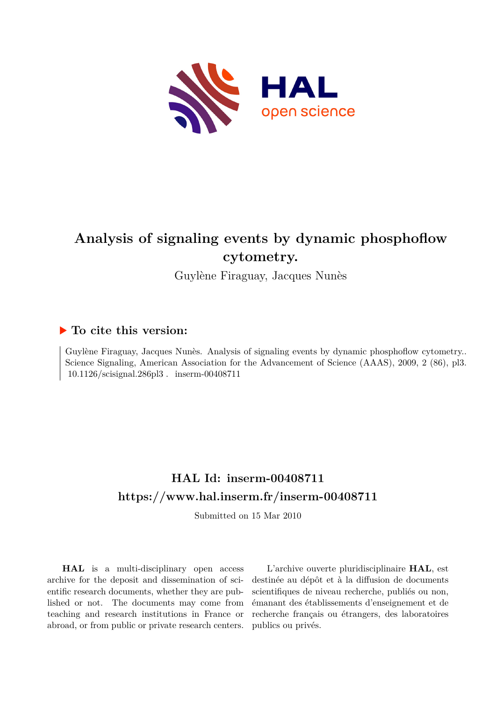

# **Analysis of signaling events by dynamic phosphoflow cytometry.**

Guylène Firaguay, Jacques Nunès

# **To cite this version:**

Guylène Firaguay, Jacques Nunès. Analysis of signaling events by dynamic phosphoflow cytometry.. Science Signaling, American Association for the Advancement of Science (AAAS), 2009, 2 (86), pl3.  $10.1126/\text{scisignal}.286p13$ . inserm-00408711

# **HAL Id: inserm-00408711 <https://www.hal.inserm.fr/inserm-00408711>**

Submitted on 15 Mar 2010

**HAL** is a multi-disciplinary open access archive for the deposit and dissemination of scientific research documents, whether they are published or not. The documents may come from teaching and research institutions in France or abroad, or from public or private research centers.

L'archive ouverte pluridisciplinaire **HAL**, est destinée au dépôt et à la diffusion de documents scientifiques de niveau recherche, publiés ou non, émanant des établissements d'enseignement et de recherche français ou étrangers, des laboratoires publics ou privés.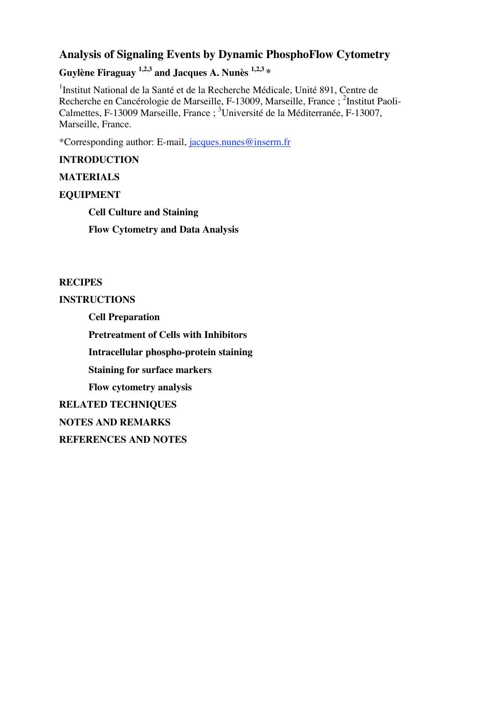# **Analysis of Signaling Events by Dynamic PhosphoFlow Cytometry**

**Guylène Firaguay 1,2,3 and Jacques A. Nunès 1,2,3 \***

<sup>1</sup>Institut National de la Santé et de la Recherche Médicale, Unité 891, Centre de Recherche en Cancérologie de Marseille, F-13009, Marseille, France ; <sup>2</sup>Institut Paoli-Calmettes, F-13009 Marseille, France ; <sup>3</sup>Université de la Méditerranée, F-13007, Marseille, France.

\*Corresponding author: E-mail, jacques.nunes@inserm.fr

## **INTRODUCTION**

## **MATERIALS**

## **EQUIPMENT**

**Cell Culture and Staining**

**Flow Cytometry and Data Analysis**

#### **RECIPES**

#### **INSTRUCTIONS**

**Cell Preparation Pretreatment of Cells with Inhibitors Intracellular phospho-protein staining Staining for surface markers Flow cytometry analysis RELATED TECHNIQUES NOTES AND REMARKS REFERENCES AND NOTES**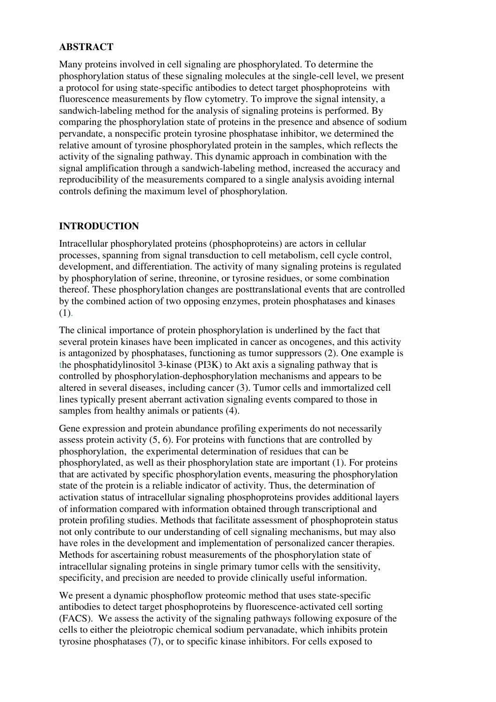## **ABSTRACT**

Many proteins involved in cell signaling are phosphorylated. To determine the phosphorylation status of these signaling molecules at the single-cell level, we present a protocol for using state-specific antibodies to detect target phosphoproteins with fluorescence measurements by flow cytometry. To improve the signal intensity, a sandwich-labeling method for the analysis of signaling proteins is performed. By comparing the phosphorylation state of proteins in the presence and absence of sodium pervandate, a nonspecific protein tyrosine phosphatase inhibitor, we determined the relative amount of tyrosine phosphorylated protein in the samples, which reflects the activity of the signaling pathway. This dynamic approach in combination with the signal amplification through a sandwich-labeling method, increased the accuracy and reproducibility of the measurements compared to a single analysis avoiding internal controls defining the maximum level of phosphorylation.

## **INTRODUCTION**

Intracellular phosphorylated proteins (phosphoproteins) are actors in cellular processes, spanning from signal transduction to cell metabolism, cell cycle control, development, and differentiation. The activity of many signaling proteins is regulated by phosphorylation of serine, threonine, or tyrosine residues, or some combination thereof. These phosphorylation changes are posttranslational events that are controlled by the combined action of two opposing enzymes, protein phosphatases and kinases (1).

The clinical importance of protein phosphorylation is underlined by the fact that several protein kinases have been implicated in cancer as oncogenes, and this activity is antagonized by phosphatases, functioning as tumor suppressors (2). One example is the phosphatidylinositol 3-kinase (PI3K) to Akt axis a signaling pathway that is controlled by phosphorylation-dephosphorylation mechanisms and appears to be altered in several diseases, including cancer (3). Tumor cells and immortalized cell lines typically present aberrant activation signaling events compared to those in samples from healthy animals or patients (4).

Gene expression and protein abundance profiling experiments do not necessarily assess protein activity (5, 6). For proteins with functions that are controlled by phosphorylation, the experimental determination of residues that can be phosphorylated, as well as their phosphorylation state are important (1). For proteins that are activated by specific phosphorylation events, measuring the phosphorylation state of the protein is a reliable indicator of activity. Thus, the determination of activation status of intracellular signaling phosphoproteins provides additional layers of information compared with information obtained through transcriptional and protein profiling studies. Methods that facilitate assessment of phosphoprotein status not only contribute to our understanding of cell signaling mechanisms, but may also have roles in the development and implementation of personalized cancer therapies. Methods for ascertaining robust measurements of the phosphorylation state of intracellular signaling proteins in single primary tumor cells with the sensitivity, specificity, and precision are needed to provide clinically useful information.

We present a dynamic phosphoflow proteomic method that uses state-specific antibodies to detect target phosphoproteins by fluorescence-activated cell sorting (FACS). We assess the activity of the signaling pathways following exposure of the cells to either the pleiotropic chemical sodium pervanadate, which inhibits protein tyrosine phosphatases (7), or to specific kinase inhibitors. For cells exposed to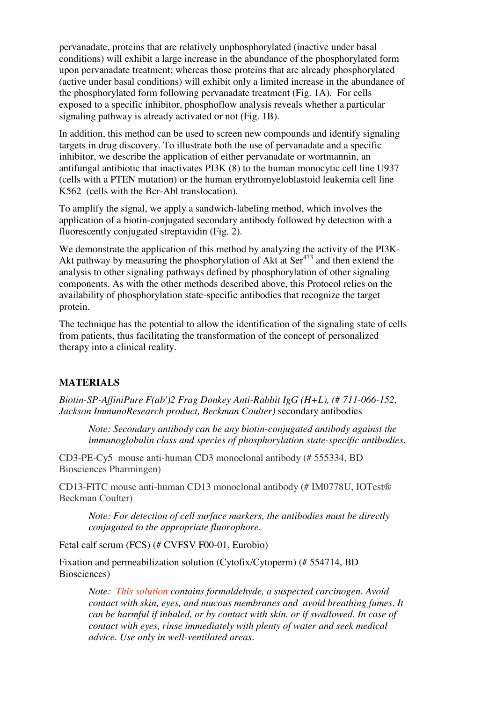pervanadate, proteins that are relatively unphosphorylated (inactive under basal conditions) will exhibit a large increase in the abundance of the phosphorylated form upon pervanadate treatment; whereas those proteins that are already phosphorylated (active under basal conditions) will exhibit only a limited increase in the abundance of the phosphorylated form following pervanadate treatment (Fig. 1A). For cells exposed to a specific inhibitor, phosphoflow analysis reveals whether a particular signaling pathway is already activated or not (Fig. 1B).

In addition, this method can be used to screen new compounds and identify signaling targets in drug discovery. To illustrate both the use of pervanadate and a specific inhibitor, we describe the application of either pervanadate or wortmannin, an antifungal antibiotic that inactivates PI3K (8) to the human monocytic cell line U937 (cells with a PTEN mutation) or the human erythromyeloblastoid leukemia cell line K562 (cells with the Bcr-Abl translocation).

To amplify the signal, we apply a sandwich-labeling method, which involves the application of a biotin-conjugated secondary antibody followed by detection with a fluorescently conjugated streptavidin (Fig. 2).

We demonstrate the application of this method by analyzing the activity of the PI3K-Akt pathway by measuring the phosphorylation of Akt at Ser<sup>473</sup> and then extend the analysis to other signaling pathways defined by phosphorylation of other signaling components. As with the other methods described above, this Protocol relies on the availability of phosphorylation state-specific antibodies that recognize the target protein.

The technique has the potential to allow the identification of the signaling state of cells from patients, thus facilitating the transformation of the concept of personalized therapy into a clinical reality.

#### **MATERIALS**

*Biotin-SP-AffiniPure F(ab')2 Frag Donkey Anti-Rabbit IgG (H+L), (# 711-066-152, Jackson ImmunoResearch product, Beckman Coulter)* secondary antibodies

*Note: Secondary antibody can be any biotin-conjugated antibody against the immunoglobulin class and species of phosphorylation state-specific antibodies.*

CD3-PE-Cy5 mouse anti-human CD3 monoclonal antibody (# 555334, BD Biosciences Pharmingen)

CD13-FITC mouse anti-human CD13 monoclonal antibody (# IM0778U, IOTest® Beckman Coulter)

*Note: For detection of cell surface markers, the antibodies must be directly conjugated to the appropriate fluorophore.*

Fetal calf serum (FCS) (# CVFSV F00-01, Eurobio)

Fixation and permeabilization solution (Cytofix/Cytoperm) (# 554714, BD Biosciences)

*Note: This solution contains formaldehyde, a suspected carcinogen. Avoid contact with skin, eyes, and mucous membranes and avoid breathing fumes. It can be harmful if inhaled, or by contact with skin, or if swallowed. In case of contact with eyes, rinse immediately with plenty of water and seek medical advice. Use only in well-ventilated areas.*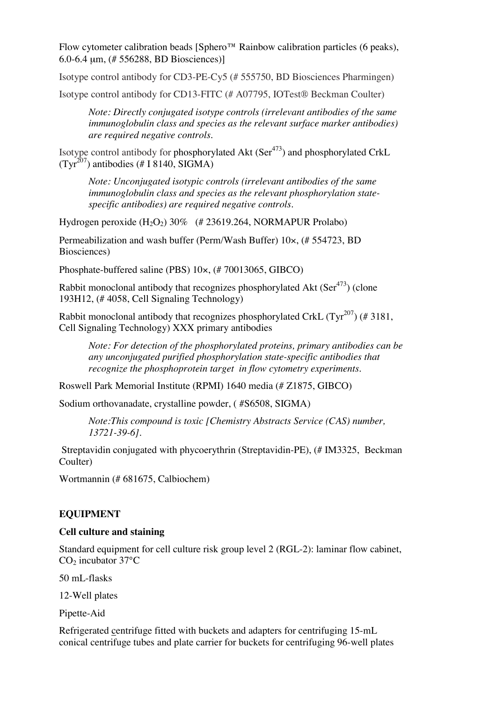Flow cytometer calibration beads [Sphero™ Rainbow calibration particles (6 peaks), 6.0-6.4 µm, (# 556288, BD Biosciences)]

Isotype control antibody for CD3-PE-Cy5 (# 555750, BD Biosciences Pharmingen)

Isotype control antibody for CD13-FITC (# A07795, IOTest® Beckman Coulter)

*Note: Directly conjugated isotype controls (irrelevant antibodies of the same immunoglobulin class and species as the relevant surface marker antibodies) are required negative controls.*

Isotype control antibody for phosphorylated Akt (Ser<sup>473</sup>) and phosphorylated CrkL  $(Tyr^{207})$  antibodies (# I 8140, SIGMA)

*Note: Unconjugated isotypic controls (irrelevant antibodies of the same immunoglobulin class and species as the relevant phosphorylation statespecific antibodies) are required negative controls.*

Hydrogen peroxide  $(H_2O_2)$  30% (# 23619.264, NORMAPUR Prolabo)

Permeabilization and wash buffer (Perm/Wash Buffer) 10×, (# 554723, BD Biosciences)

Phosphate-buffered saline (PBS) 10×, (# 70013065, GIBCO)

Rabbit monoclonal antibody that recognizes phosphorylated Akt (Ser<sup>473</sup>) (clone 193H12, (# 4058, Cell Signaling Technology)

Rabbit monoclonal antibody that recognizes phosphorylated CrkL  $(\mathrm{Tyr}^{207})$  (#3181, Cell Signaling Technology) XXX primary antibodies

*Note: For detection of the phosphorylated proteins, primary antibodies can be any unconjugated purified phosphorylation state-specific antibodies that recognize the phosphoprotein target in flow cytometry experiments.*

Roswell Park Memorial Institute (RPMI) 1640 media (# Z1875, GIBCO)

Sodium orthovanadate, crystalline powder, ( #S6508, SIGMA)

*Note:This compound is toxic [Chemistry Abstracts Service (CAS) number, 13721-39-6].*

Streptavidin conjugated with phycoerythrin (Streptavidin-PE), (# IM3325, Beckman Coulter)

Wortmannin (# 681675, Calbiochem)

#### **EQUIPMENT**

#### **Cell culture and staining**

Standard equipment for cell culture risk group level 2 (RGL-2): laminar flow cabinet,  $CO<sub>2</sub>$  incubator 37 $\rm ^{\circ}C$ 

50 mL-flasks

12-Well plates

Pipette-Aid

Refrigerated centrifuge fitted with buckets and adapters for centrifuging 15-mL conical centrifuge tubes and plate carrier for buckets for centrifuging 96-well plates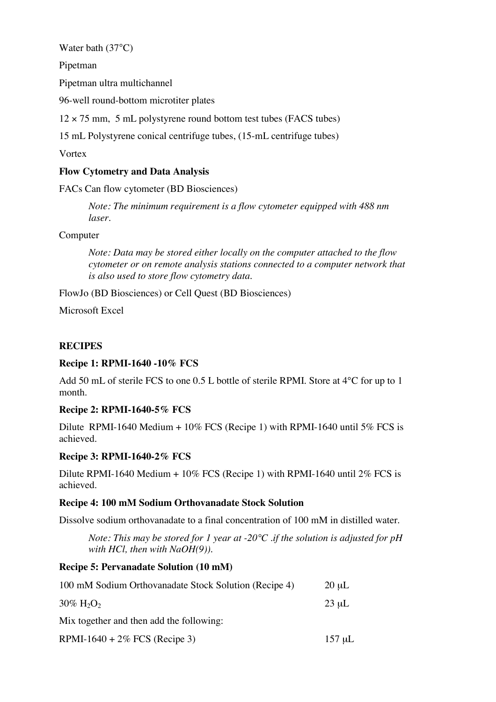Water bath (37°C)

Pipetman

Pipetman ultra multichannel

96-well round-bottom microtiter plates

 $12 \times 75$  mm, 5 mL polystyrene round bottom test tubes (FACS tubes)

15 mL Polystyrene conical centrifuge tubes, (15-mL centrifuge tubes)

**V**ortex

## **Flow Cytometry and Data Analysis**

FACs Can flow cytometer (BD Biosciences)

*Note: The minimum requirement is a flow cytometer equipped with 488 nm laser.*

## Computer

*Note: Data may be stored either locally on the computer attached to the flow cytometer or on remote analysis stations connected to a computer network that is also used to store flow cytometry data.*

FlowJo (BD Biosciences) or Cell Quest (BD Biosciences)

Microsoft Excel

## **RECIPES**

## **Recipe 1: RPMI-1640 -10% FCS**

Add 50 mL of sterile FCS to one 0.5 L bottle of sterile RPMI. Store at 4<sup>o</sup>C for up to 1 month.

## **Recipe 2: RPMI-1640-5% FCS**

Dilute RPMI-1640 Medium + 10% FCS (Recipe 1) with RPMI-1640 until 5% FCS is achieved.

## **Recipe 3: RPMI-1640-2% FCS**

Dilute RPMI-1640 Medium  $+ 10\%$  FCS (Recipe 1) with RPMI-1640 until 2% FCS is achieved.

## **Recipe 4: 100 mM Sodium Orthovanadate Stock Solution**

Dissolve sodium orthovanadate to a final concentration of 100 mM in distilled water.

*Note: This may be stored for 1 year at -20°C .if the solution is adjusted for pH with HCl, then with NaOH(9)).*

## **Recipe 5: Pervanadate Solution (10 mM)**

| 100 mM Sodium Orthovanadate Stock Solution (Recipe 4) | $20 \mu L$  |
|-------------------------------------------------------|-------------|
| $30\% \text{ H}_2\text{O}_2$                          | $23 \mu L$  |
| Mix together and then add the following:              |             |
| RPMI-1640 + $2\%$ FCS (Recipe 3)                      | $157 \mu L$ |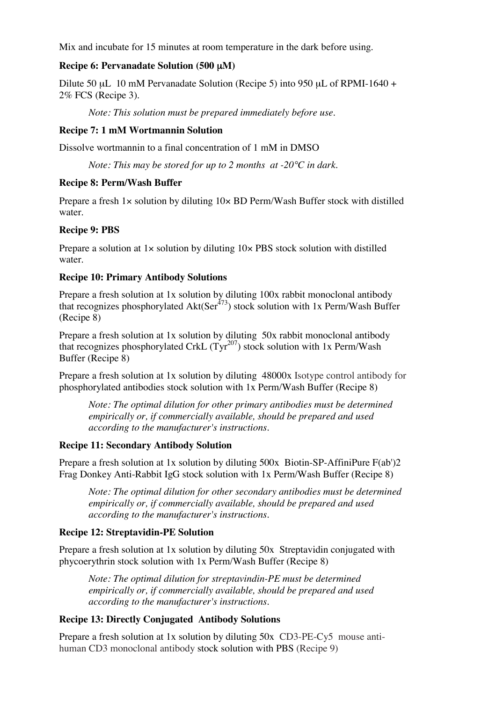Mix and incubate for 15 minutes at room temperature in the dark before using.

#### **Recipe 6: Pervanadate Solution (500** µ**M)**

Dilute 50 µL 10 mM Pervanadate Solution (Recipe 5) into 950 µL of RPMI-1640 + 2% FCS (Recipe 3).

*Note: This solution must be prepared immediately before use.*

#### **Recipe 7: 1 mM Wortmannin Solution**

Dissolve wortmannin to a final concentration of 1 mM in DMSO

*Note: This may be stored for up to 2 months at -20°C in dark.*

## **Recipe 8: Perm/Wash Buffer**

Prepare a fresh 1× solution by diluting 10× BD Perm/Wash Buffer stock with distilled water.

## **Recipe 9: PBS**

Prepare a solution at 1× solution by diluting 10× PBS stock solution with distilled water.

## **Recipe 10: Primary Antibody Solutions**

Prepare a fresh solution at 1x solution by diluting 100x rabbit monoclonal antibody that recognizes phosphorylated Akt(Ser<sup>473</sup>) stock solution with 1x Perm/Wash Buffer (Recipe 8)

Prepare a fresh solution at 1x solution by diluting 50x rabbit monoclonal antibody that recognizes phosphorylated CrkL  $(Tyr^{207})$  stock solution with 1x Perm/Wash Buffer (Recipe 8)

Prepare a fresh solution at 1x solution by diluting 48000x Isotype control antibody for phosphorylated antibodies stock solution with 1x Perm/Wash Buffer (Recipe 8)

*Note: The optimal dilution for other primary antibodies must be determined empirically or, if commercially available, should be prepared and used according to the manufacturer's instructions.*

## **Recipe 11: Secondary Antibody Solution**

Prepare a fresh solution at 1x solution by diluting 500x Biotin-SP-AffiniPure F(ab')2 Frag Donkey Anti-Rabbit IgG stock solution with 1x Perm/Wash Buffer (Recipe 8)

*Note: The optimal dilution for other secondary antibodies must be determined empirically or, if commercially available, should be prepared and used according to the manufacturer's instructions.*

## **Recipe 12: Streptavidin-PE Solution**

Prepare a fresh solution at 1x solution by diluting 50x Streptavidin conjugated with phycoerythrin stock solution with 1x Perm/Wash Buffer (Recipe 8)

*Note: The optimal dilution for streptavindin-PE must be determined empirically or, if commercially available, should be prepared and used according to the manufacturer's instructions.*

## **Recipe 13: Directly Conjugated Antibody Solutions**

Prepare a fresh solution at 1x solution by diluting 50x CD3-PE-Cy5 mouse antihuman CD3 monoclonal antibody stock solution with PBS (Recipe 9)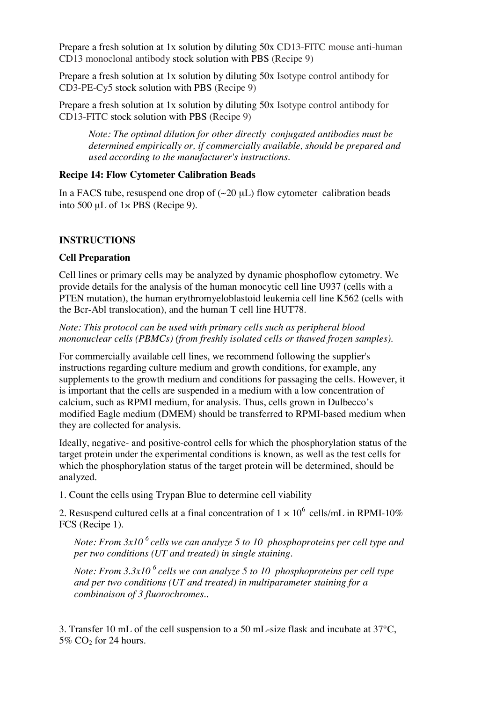Prepare a fresh solution at 1x solution by diluting 50x CD13-FITC mouse anti-human CD13 monoclonal antibody stock solution with PBS (Recipe 9)

Prepare a fresh solution at 1x solution by diluting 50x Isotype control antibody for CD3-PE-Cy5 stock solution with PBS (Recipe 9)

Prepare a fresh solution at 1x solution by diluting 50x Isotype control antibody for CD13-FITC stock solution with PBS (Recipe 9)

*Note: The optimal dilution for other directly conjugated antibodies must be determined empirically or, if commercially available, should be prepared and used according to the manufacturer's instructions.*

#### **Recipe 14: Flow Cytometer Calibration Beads**

In a FACS tube, resuspend one drop of  $(\sim 20 \mu L)$  flow cytometer calibration beads into 500  $\mu$ L of 1× PBS (Recipe 9).

#### **INSTRUCTIONS**

#### **Cell Preparation**

Cell lines or primary cells may be analyzed by dynamic phosphoflow cytometry. We provide details for the analysis of the human monocytic cell line U937 (cells with a PTEN mutation), the human erythromyeloblastoid leukemia cell line K562 (cells with the Bcr-Abl translocation), and the human T cell line HUT78.

*Note: This protocol can be used with primary cells such as peripheral blood mononuclear cells (PBMCs) (from freshly isolated cells or thawed frozen samples).*

For commercially available cell lines, we recommend following the supplier's instructions regarding culture medium and growth conditions, for example, any supplements to the growth medium and conditions for passaging the cells. However, it is important that the cells are suspended in a medium with a low concentration of calcium, such as RPMI medium, for analysis. Thus, cells grown in Dulbecco's modified Eagle medium (DMEM) should be transferred to RPMI-based medium when they are collected for analysis.

Ideally, negative- and positive-control cells for which the phosphorylation status of the target protein under the experimental conditions is known, as well as the test cells for which the phosphorylation status of the target protein will be determined, should be analyzed.

1. Count the cells using Trypan Blue to determine cell viability

2. Resuspend cultured cells at a final concentration of  $1 \times 10^6$  cells/mL in RPMI-10% FCS (Recipe 1).

*Note: From 3x10 <sup>6</sup> cells we can analyze 5 to 10 phosphoproteins per cell type and per two conditions (UT and treated) in single staining.*

*Note: From 3.3x10 <sup>6</sup> cells we can analyze 5 to 10 phosphoproteins per cell type and per two conditions (UT and treated) in multiparameter staining for a combinaison of 3 fluorochromes..*

3. Transfer 10 mL of the cell suspension to a 50 mL-size flask and incubate at 37°C, 5%  $CO<sub>2</sub>$  for 24 hours.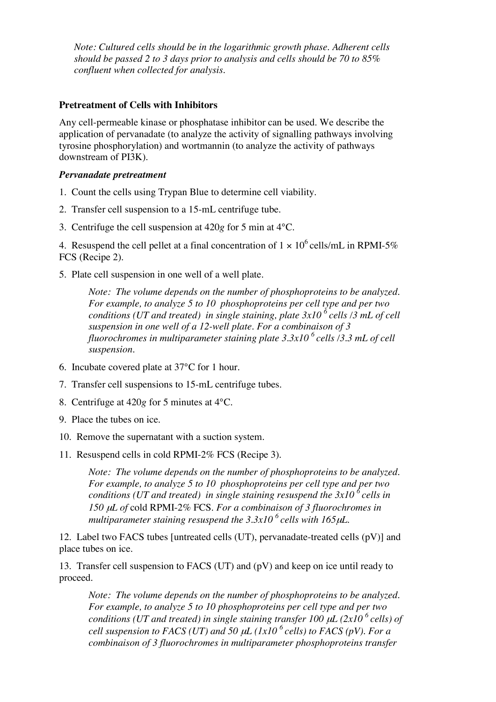*Note: Cultured cells should be in the logarithmic growth phase. Adherent cells should be passed 2 to 3 days prior to analysis and cells should be 70 to 85% confluent when collected for analysis.*

#### **Pretreatment of Cells with Inhibitors**

Any cell-permeable kinase or phosphatase inhibitor can be used. We describe the application of pervanadate (to analyze the activity of signalling pathways involving tyrosine phosphorylation) and wortmannin (to analyze the activity of pathways downstream of PI3K).

#### *Pervanadate pretreatment*

- 1. Count the cells using Trypan Blue to determine cell viability.
- 2. Transfer cell suspension to a 15-mL centrifuge tube.
- 3. Centrifuge the cell suspension at 420*g* for 5 min at 4°C.

4. Resuspend the cell pellet at a final concentration of  $1 \times 10^6$  cells/mL in RPMI-5% FCS (Recipe 2).

5. Plate cell suspension in one well of a well plate.

*Note: The volume depends on the number of phosphoproteins to be analyzed. For example, to analyze 5 to 10 phosphoproteins per cell type and per two conditions (UT and treated) in single staining, plate 3x10 <sup>6</sup> cells /3 mL of cell suspension in one well of a 12-well plate. For a combinaison of 3 fluorochromes in multiparameter staining plate 3.3x10 <sup>6</sup> cells /3.3 mL of cell suspension.*

- 6. Incubate covered plate at 37°C for 1 hour.
- 7. Transfer cell suspensions to 15-mL centrifuge tubes.
- 8. Centrifuge at 420*g* for 5 minutes at 4°C.
- 9. Place the tubes on ice.
- 10. Remove the supernatant with a suction system.
- 11. Resuspend cells in cold RPMI-2% FCS (Recipe 3).

*Note: The volume depends on the number of phosphoproteins to be analyzed. For example, to analyze 5 to 10 phosphoproteins per cell type and per two conditions (UT and treated) in single staining resuspend the 3x10 <sup>6</sup> cells in 150* <sup>µ</sup>*L of* cold RPMI-2% FCS. *For a combinaison of 3 fluorochromes in multiparameter staining resuspend the 3.3x10 <sup>6</sup> cells with 165*µ*L.*

12. Label two FACS tubes [untreated cells (UT), pervanadate-treated cells (pV)] and place tubes on ice.

13. Transfer cell suspension to FACS (UT) and (pV) and keep on ice until ready to proceed.

*Note: The volume depends on the number of phosphoproteins to be analyzed. For example, to analyze 5 to 10 phosphoproteins per cell type and per two conditions (UT and treated) in single staining transfer 100* <sup>µ</sup>*L (2x10 <sup>6</sup> cells) of cell suspension to FACS (UT) and 50* <sup>µ</sup>*L (1x10 <sup>6</sup> cells) to FACS (pV). For a combinaison of 3 fluorochromes in multiparameter phosphoproteins transfer*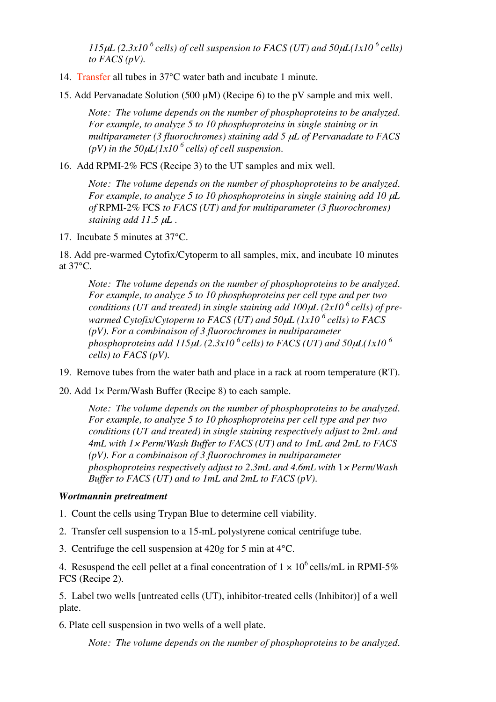*115*µ*L (2.3x10 <sup>6</sup> cells) of cell suspension to FACS (UT) and 50*µ*L(1x10 <sup>6</sup> cells) to FACS (pV).*

14. Transfer all tubes in 37°C water bath and incubate 1 minute.

15. Add Pervanadate Solution (500 µM) (Recipe 6) to the pV sample and mix well.

*Note: The volume depends on the number of phosphoproteins to be analyzed. For example, to analyze 5 to 10 phosphoproteins in single staining or in multiparameter (3 fluorochromes) staining add 5* <sup>µ</sup>*L of Pervanadate to FACS (pV) in the 50*µ*L(1x10 <sup>6</sup> cells) of cell suspension.*

16. Add RPMI-2% FCS (Recipe 3) to the UT samples and mix well.

*Note: The volume depends on the number of phosphoproteins to be analyzed. For example, to analyze 5 to 10 phosphoproteins in single staining add 10* <sup>µ</sup>*L of* RPMI-2% FCS *to FACS (UT) and for multiparameter (3 fluorochromes) staining add 11.5* <sup>µ</sup>*L .*

17. Incubate 5 minutes at 37°C.

18. Add pre-warmed Cytofix/Cytoperm to all samples, mix, and incubate 10 minutes at 37°C.

*Note: The volume depends on the number of phosphoproteins to be analyzed. For example, to analyze 5 to 10 phosphoproteins per cell type and per two conditions (UT and treated) in single staining add 100*µ*L (2x10 <sup>6</sup> cells) of prewarmed Cytofix/Cytoperm to FACS (UT) and 50*µ*L (1x10 <sup>6</sup> cells) to FACS (pV). For a combinaison of 3 fluorochromes in multiparameter phosphoproteins add 115*µ*L (2.3x10 <sup>6</sup> cells) to FACS (UT) and 50*µ*L(1x10 <sup>6</sup> cells) to FACS (pV).*

19. Remove tubes from the water bath and place in a rack at room temperature (RT).

20. Add 1× Perm/Wash Buffer (Recipe 8) to each sample.

*Note: The volume depends on the number of phosphoproteins to be analyzed. For example, to analyze 5 to 10 phosphoproteins per cell type and per two conditions (UT and treated) in single staining respectively adjust to 2mL and 4mL with 1*<sup>×</sup> *Perm/Wash Buffer to FACS (UT) and to 1mL and 2mL to FACS (pV). For a combinaison of 3 fluorochromes in multiparameter phosphoproteins respectively adjust to 2.3mL and 4.6mL with* 1<sup>×</sup> *Perm/Wash Buffer to FACS (UT) and to 1mL and 2mL to FACS (pV).*

#### *Wortmannin pretreatment*

- 1. Count the cells using Trypan Blue to determine cell viability.
- 2. Transfer cell suspension to a 15-mL polystyrene conical centrifuge tube.
- 3. Centrifuge the cell suspension at 420*g* for 5 min at 4°C.

4. Resuspend the cell pellet at a final concentration of  $1 \times 10^6$  cells/mL in RPMI-5% FCS (Recipe 2).

5. Label two wells [untreated cells (UT), inhibitor-treated cells (Inhibitor)] of a well plate.

6. Plate cell suspension in two wells of a well plate.

*Note: The volume depends on the number of phosphoproteins to be analyzed.*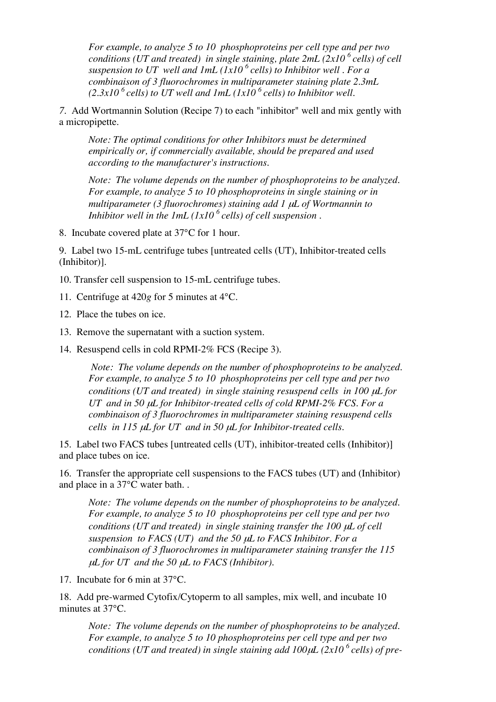*For example, to analyze 5 to 10 phosphoproteins per cell type and per two conditions (UT and treated) in single staining, plate 2mL (2x10 <sup>6</sup> cells) of cell suspension to UT well and 1mL (1x10 <sup>6</sup> cells) to Inhibitor well . For a combinaison of 3 fluorochromes in multiparameter staining plate 2.3mL*  $(2.3x10<sup>6</sup>$  *cells) to UT well* and  $1mL(1x10<sup>6</sup>$  *cells) to Inhibitor well.* 

*7*. Add Wortmannin Solution (Recipe 7) to each "inhibitor" well and mix gently with a micropipette.

*Note: The optimal conditions for other Inhibitors must be determined empirically or, if commercially available, should be prepared and used according to the manufacturer's instructions.*

*Note: The volume depends on the number of phosphoproteins to be analyzed. For example, to analyze 5 to 10 phosphoproteins in single staining or in multiparameter (3 fluorochromes) staining add 1* <sup>µ</sup>*L of Wortmannin to Inhibitor well in the 1mL (1x10 <sup>6</sup> cells) of cell suspension .*

8. Incubate covered plate at 37°C for 1 hour.

9. Label two 15-mL centrifuge tubes [untreated cells (UT), Inhibitor-treated cells (Inhibitor)].

- 10. Transfer cell suspension to 15-mL centrifuge tubes.
- 11. Centrifuge at 420*g* for 5 minutes at 4°C.
- 12. Place the tubes on ice.
- 13. Remove the supernatant with a suction system.
- 14. Resuspend cells in cold RPMI-2% FCS (Recipe 3).

*Note: The volume depends on the number of phosphoproteins to be analyzed. For example, to analyze 5 to 10 phosphoproteins per cell type and per two conditions (UT and treated) in single staining resuspend cells in 100* <sup>µ</sup>*L for UT and in 50* <sup>µ</sup>*L for Inhibitor-treated cells of cold RPMI-2% FCS. For a combinaison of 3 fluorochromes in multiparameter staining resuspend cells cells in 115* <sup>µ</sup>*L for UT and in 50* <sup>µ</sup>*L for Inhibitor-treated cells.*

15. Label two FACS tubes [untreated cells (UT), inhibitor-treated cells (Inhibitor)] and place tubes on ice.

16. Transfer the appropriate cell suspensions to the FACS tubes (UT) and (Inhibitor) and place in a 37°C water bath. .

*Note: The volume depends on the number of phosphoproteins to be analyzed. For example, to analyze 5 to 10 phosphoproteins per cell type and per two conditions (UT and treated) in single staining transfer the 100* <sup>µ</sup>*L of cell suspension to FACS (UT) and the 50* <sup>µ</sup>*L to FACS Inhibitor. For a combinaison of 3 fluorochromes in multiparameter staining transfer the 115* <sup>µ</sup>*L for UT and the 50* <sup>µ</sup>*L to FACS (Inhibitor).*

17. Incubate for 6 min at 37°C.

18. Add pre-warmed Cytofix/Cytoperm to all samples, mix well, and incubate 10 minutes at 37°C.

*Note: The volume depends on the number of phosphoproteins to be analyzed. For example, to analyze 5 to 10 phosphoproteins per cell type and per two conditions (UT and treated) in single staining add 100*µ*L (2x10 <sup>6</sup> cells) of pre-*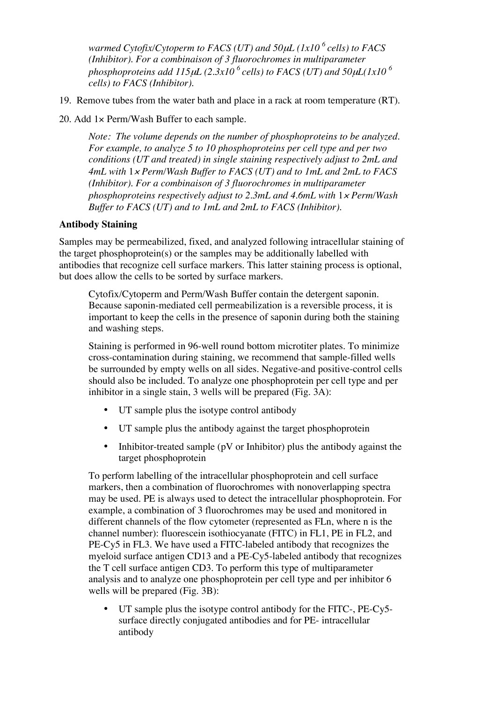*warmed Cytofix/Cytoperm to FACS (UT) and 50*µ*L (1x10 <sup>6</sup> cells) to FACS (Inhibitor). For a combinaison of 3 fluorochromes in multiparameter phosphoproteins add 115*µ*L (2.3x10 <sup>6</sup> cells) to FACS (UT) and 50*µ*L(1x10 <sup>6</sup> cells) to FACS (Inhibitor).*

19. Remove tubes from the water bath and place in a rack at room temperature (RT).

20. Add 1× Perm/Wash Buffer to each sample.

*Note: The volume depends on the number of phosphoproteins to be analyzed. For example, to analyze 5 to 10 phosphoproteins per cell type and per two conditions (UT and treated) in single staining respectively adjust to 2mL and 4mL with* 1<sup>×</sup> *Perm/Wash Buffer to FACS (UT) and to 1mL and 2mL to FACS (Inhibitor). For a combinaison of 3 fluorochromes in multiparameter phosphoproteins respectively adjust to 2.3mL and 4.6mL with* 1<sup>×</sup> *Perm/Wash Buffer to FACS (UT) and to 1mL and 2mL to FACS (Inhibitor).*

#### **Antibody Staining**

Samples may be permeabilized, fixed, and analyzed following intracellular staining of the target phosphoprotein(s) or the samples may be additionally labelled with antibodies that recognize cell surface markers. This latter staining process is optional, but does allow the cells to be sorted by surface markers.

Cytofix/Cytoperm and Perm/Wash Buffer contain the detergent saponin. Because saponin-mediated cell permeabilization is a reversible process, it is important to keep the cells in the presence of saponin during both the staining and washing steps.

Staining is performed in 96-well round bottom microtiter plates. To minimize cross-contamination during staining, we recommend that sample-filled wells be surrounded by empty wells on all sides. Negative-and positive-control cells should also be included. To analyze one phosphoprotein per cell type and per inhibitor in a single stain, 3 wells will be prepared (Fig. 3A):

- UT sample plus the isotype control antibody
- UT sample plus the antibody against the target phosphoprotein
- Inhibitor-treated sample ( $pV$  or Inhibitor) plus the antibody against the target phosphoprotein

To perform labelling of the intracellular phosphoprotein and cell surface markers, then a combination of fluorochromes with nonoverlapping spectra may be used. PE is always used to detect the intracellular phosphoprotein. For example, a combination of 3 fluorochromes may be used and monitored in different channels of the flow cytometer (represented as FLn, where n is the channel number): fluorescein isothiocyanate (FITC) in FL1, PE in FL2, and PE-Cy5 in FL3. We have used a FITC-labeled antibody that recognizes the myeloid surface antigen CD13 and a PE-Cy5-labeled antibody that recognizes the T cell surface antigen CD3. To perform this type of multiparameter analysis and to analyze one phosphoprotein per cell type and per inhibitor 6 wells will be prepared (Fig. 3B):

• UT sample plus the isotype control antibody for the FITC-, PE-Cy5 surface directly conjugated antibodies and for PE- intracellular antibody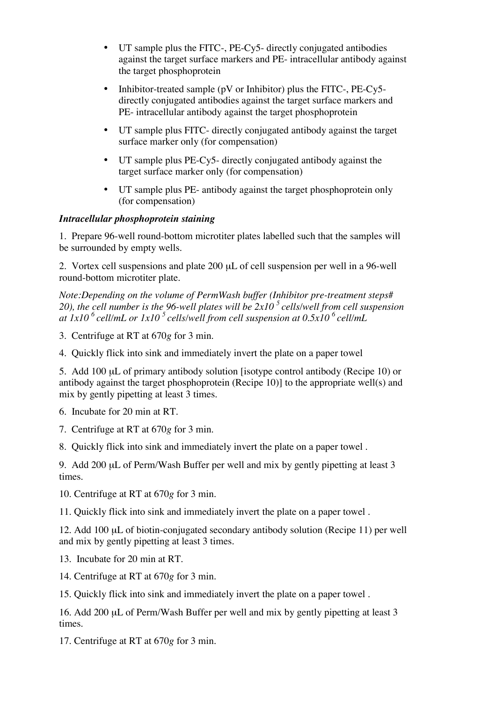- UT sample plus the FITC-, PE-Cy5- directly conjugated antibodies against the target surface markers and PE- intracellular antibody against the target phosphoprotein
- Inhibitor-treated sample ( $pV$  or Inhibitor) plus the FITC-,  $PE-Cy5$ directly conjugated antibodies against the target surface markers and PE- intracellular antibody against the target phosphoprotein
- UT sample plus FITC- directly conjugated antibody against the target surface marker only (for compensation)
- UT sample plus PE-Cy5- directly conjugated antibody against the target surface marker only (for compensation)
- UT sample plus PE- antibody against the target phosphoprotein only (for compensation)

## *Intracellular phosphoprotein staining*

1. Prepare 96-well round-bottom microtiter plates labelled such that the samples will be surrounded by empty wells.

2. Vortex cell suspensions and plate 200 µL of cell suspension per well in a 96-well round-bottom microtiter plate.

*Note:Depending on the volume of PermWash buffer (Inhibitor pre-treatment steps# 20), the cell number is the 96-well plates will be 2x10 <sup>5</sup> cells/well from cell suspension at 1x10 <sup>6</sup> cell/mL or 1x10 <sup>5</sup> cells/well from cell suspension at 0.5x10 <sup>6</sup> cell/mL*

- 3. Centrifuge at RT at 670*g* for 3 min.
- 4. Quickly flick into sink and immediately invert the plate on a paper towel

5. Add 100 uL of primary antibody solution [isotype control antibody (Recipe 10) or antibody against the target phosphoprotein (Recipe 10)] to the appropriate well(s) and mix by gently pipetting at least 3 times.

6. Incubate for 20 min at RT.

7. Centrifuge at RT at 670*g* for 3 min.

8. Quickly flick into sink and immediately invert the plate on a paper towel .

9. Add 200 µL of Perm/Wash Buffer per well and mix by gently pipetting at least 3 times.

10. Centrifuge at RT at 670*g* for 3 min.

11. Quickly flick into sink and immediately invert the plate on a paper towel .

12. Add 100 µL of biotin-conjugated secondary antibody solution (Recipe 11) per well and mix by gently pipetting at least 3 times.

- 13. Incubate for 20 min at RT.
- 14. Centrifuge at RT at 670*g* for 3 min.

15. Quickly flick into sink and immediately invert the plate on a paper towel .

16. Add 200 µL of Perm/Wash Buffer per well and mix by gently pipetting at least 3 times.

17. Centrifuge at RT at 670*g* for 3 min.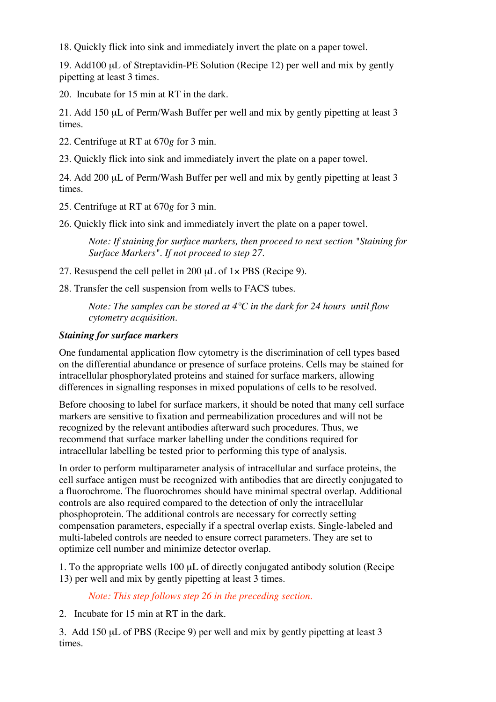18. Quickly flick into sink and immediately invert the plate on a paper towel.

19. Add100 µL of Streptavidin-PE Solution (Recipe 12) per well and mix by gently pipetting at least 3 times.

20. Incubate for 15 min at RT in the dark.

21. Add 150 µL of Perm/Wash Buffer per well and mix by gently pipetting at least 3 times.

22. Centrifuge at RT at 670*g* for 3 min.

23. Quickly flick into sink and immediately invert the plate on a paper towel.

24. Add 200 µL of Perm/Wash Buffer per well and mix by gently pipetting at least 3 times.

25. Centrifuge at RT at 670*g* for 3 min.

26. Quickly flick into sink and immediately invert the plate on a paper towel.

*Note: If staining for surface markers, then proceed to next section "Staining for Surface Markers". If not proceed to step 27.*

27. Resuspend the cell pellet in 200 µL of 1× PBS (Recipe 9).

28. Transfer the cell suspension from wells to FACS tubes.

*Note: The samples can be stored at 4°C in the dark for 24 hours until flow cytometry acquisition.*

# *Staining for surface markers*

One fundamental application flow cytometry is the discrimination of cell types based on the differential abundance or presence of surface proteins. Cells may be stained for intracellular phosphorylated proteins and stained for surface markers, allowing differences in signalling responses in mixed populations of cells to be resolved.

Before choosing to label for surface markers, it should be noted that many cell surface markers are sensitive to fixation and permeabilization procedures and will not be recognized by the relevant antibodies afterward such procedures. Thus, we recommend that surface marker labelling under the conditions required for intracellular labelling be tested prior to performing this type of analysis.

In order to perform multiparameter analysis of intracellular and surface proteins, the cell surface antigen must be recognized with antibodies that are directly conjugated to a fluorochrome. The fluorochromes should have minimal spectral overlap. Additional controls are also required compared to the detection of only the intracellular phosphoprotein. The additional controls are necessary for correctly setting compensation parameters, especially if a spectral overlap exists. Single-labeled and multi-labeled controls are needed to ensure correct parameters. They are set to optimize cell number and minimize detector overlap.

1. To the appropriate wells 100 µL of directly conjugated antibody solution (Recipe 13) per well and mix by gently pipetting at least 3 times.

# *Note: This step follows step 26 in the preceding section.*

2. Incubate for 15 min at RT in the dark.

3. Add 150 µL of PBS (Recipe 9) per well and mix by gently pipetting at least 3 times.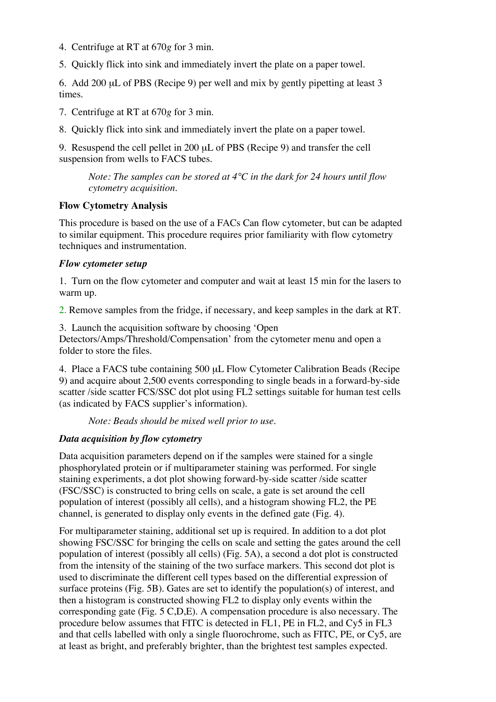- 4. Centrifuge at RT at 670*g* for 3 min.
- 5. Quickly flick into sink and immediately invert the plate on a paper towel.

6. Add 200 µL of PBS (Recipe 9) per well and mix by gently pipetting at least 3 times.

7. Centrifuge at RT at 670*g* for 3 min.

8. Quickly flick into sink and immediately invert the plate on a paper towel.

9. Resuspend the cell pellet in 200 µL of PBS (Recipe 9) and transfer the cell suspension from wells to FACS tubes.

*Note: The samples can be stored at 4°C in the dark for 24 hours until flow cytometry acquisition.*

#### **Flow Cytometry Analysis**

This procedure is based on the use of a FACs Can flow cytometer, but can be adapted to similar equipment. This procedure requires prior familiarity with flow cytometry techniques and instrumentation.

#### *Flow cytometer setup*

1. Turn on the flow cytometer and computer and wait at least 15 min for the lasers to warm up.

2. Remove samples from the fridge, if necessary, and keep samples in the dark at RT.

3. Launch the acquisition software by choosing 'Open

Detectors/Amps/Threshold/Compensation' from the cytometer menu and open a folder to store the files.

4. Place a FACS tube containing 500 µL Flow Cytometer Calibration Beads (Recipe 9) and acquire about 2,500 events corresponding to single beads in a forward-by-side scatter /side scatter FCS/SSC dot plot using FL2 settings suitable for human test cells (as indicated by FACS supplier's information).

*Note: Beads should be mixed well prior to use.*

## *Data acquisition by flow cytometry*

Data acquisition parameters depend on if the samples were stained for a single phosphorylated protein or if multiparameter staining was performed. For single staining experiments, a dot plot showing forward-by-side scatter /side scatter (FSC/SSC) is constructed to bring cells on scale, a gate is set around the cell population of interest (possibly all cells), and a histogram showing FL2, the PE channel, is generated to display only events in the defined gate (Fig. 4).

For multiparameter staining, additional set up is required. In addition to a dot plot showing FSC/SSC for bringing the cells on scale and setting the gates around the cell population of interest (possibly all cells) (Fig. 5A), a second a dot plot is constructed from the intensity of the staining of the two surface markers. This second dot plot is used to discriminate the different cell types based on the differential expression of surface proteins (Fig. 5B). Gates are set to identify the population(s) of interest, and then a histogram is constructed showing FL2 to display only events within the corresponding gate (Fig. 5 C,D,E). A compensation procedure is also necessary. The procedure below assumes that FITC is detected in FL1, PE in FL2, and Cy5 in FL3 and that cells labelled with only a single fluorochrome, such as FITC, PE, or Cy5, are at least as bright, and preferably brighter, than the brightest test samples expected.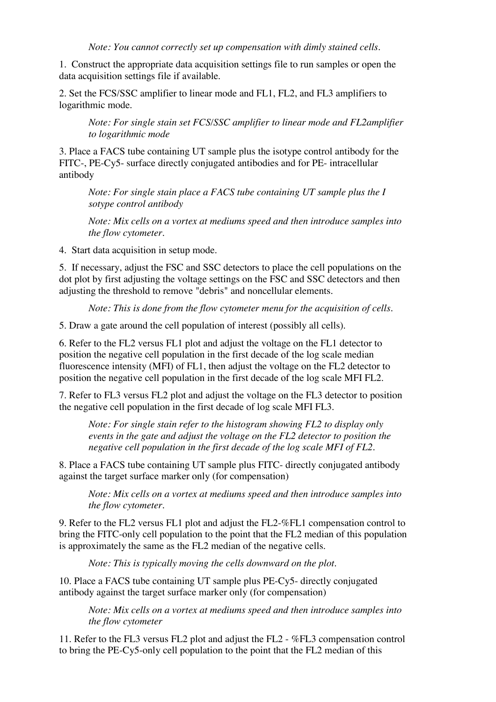1. Construct the appropriate data acquisition settings file to run samples or open the data acquisition settings file if available.

2. Set the FCS/SSC amplifier to linear mode and FL1, FL2, and FL3 amplifiers to logarithmic mode.

*Note: For single stain set FCS/SSC amplifier to linear mode and FL2amplifier to logarithmic mode*

3. Place a FACS tube containing UT sample plus the isotype control antibody for the FITC-, PE-Cy5- surface directly conjugated antibodies and for PE- intracellular antibody

*Note: For single stain place a FACS tube containing UT sample plus the I sotype control antibody*

*Note: Mix cells on a vortex at mediums speed and then introduce samples into the flow cytometer.*

4. Start data acquisition in setup mode.

5. If necessary, adjust the FSC and SSC detectors to place the cell populations on the dot plot by first adjusting the voltage settings on the FSC and SSC detectors and then adjusting the threshold to remove "debris" and noncellular elements.

*Note: This is done from the flow cytometer menu for the acquisition of cells.*

5. Draw a gate around the cell population of interest (possibly all cells).

6. Refer to the FL2 versus FL1 plot and adjust the voltage on the FL1 detector to position the negative cell population in the first decade of the log scale median fluorescence intensity (MFI) of FL1, then adjust the voltage on the FL2 detector to position the negative cell population in the first decade of the log scale MFI FL2.

7. Refer to FL3 versus FL2 plot and adjust the voltage on the FL3 detector to position the negative cell population in the first decade of log scale MFI FL3.

*Note: For single stain refer to the histogram showing FL2 to display only events in the gate and adjust the voltage on the FL2 detector to position the negative cell population in the first decade of the log scale MFI of FL2.*

8. Place a FACS tube containing UT sample plus FITC- directly conjugated antibody against the target surface marker only (for compensation)

*Note: Mix cells on a vortex at mediums speed and then introduce samples into the flow cytometer.*

9. Refer to the FL2 versus FL1 plot and adjust the FL2-%FL1 compensation control to bring the FITC-only cell population to the point that the FL2 median of this population is approximately the same as the FL2 median of the negative cells.

*Note: This is typically moving the cells downward on the plot.*

10. Place a FACS tube containing UT sample plus PE-Cy5- directly conjugated antibody against the target surface marker only (for compensation)

*Note: Mix cells on a vortex at mediums speed and then introduce samples into the flow cytometer*

11. Refer to the FL3 versus FL2 plot and adjust the FL2 - %FL3 compensation control to bring the PE-Cy5-only cell population to the point that the FL2 median of this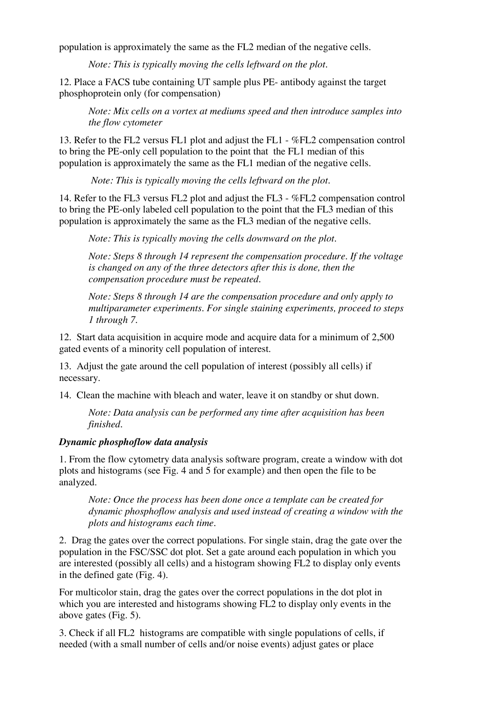population is approximately the same as the FL2 median of the negative cells.

*Note: This is typically moving the cells leftward on the plot.*

12. Place a FACS tube containing UT sample plus PE- antibody against the target phosphoprotein only (for compensation)

*Note: Mix cells on a vortex at mediums speed and then introduce samples into the flow cytometer*

13. Refer to the FL2 versus FL1 plot and adjust the FL1 - %FL2 compensation control to bring the PE-only cell population to the point that the FL1 median of this population is approximately the same as the FL1 median of the negative cells.

*Note: This is typically moving the cells leftward on the plot.*

14. Refer to the FL3 versus FL2 plot and adjust the FL3 - %FL2 compensation control to bring the PE-only labeled cell population to the point that the FL3 median of this population is approximately the same as the FL3 median of the negative cells.

*Note: This is typically moving the cells downward on the plot.*

*Note: Steps 8 through 14 represent the compensation procedure. If the voltage is changed on any of the three detectors after this is done, then the compensation procedure must be repeated.*

*Note: Steps 8 through 14 are the compensation procedure and only apply to multiparameter experiments. For single staining experiments, proceed to steps 1 through 7.*

12. Start data acquisition in acquire mode and acquire data for a minimum of 2,500 gated events of a minority cell population of interest.

13. Adjust the gate around the cell population of interest (possibly all cells) if necessary.

14. Clean the machine with bleach and water, leave it on standby or shut down.

*Note: Data analysis can be performed any time after acquisition has been finished.*

## *Dynamic phosphoflow data analysis*

1. From the flow cytometry data analysis software program, create a window with dot plots and histograms (see Fig. 4 and 5 for example) and then open the file to be analyzed.

*Note: Once the process has been done once a template can be created for dynamic phosphoflow analysis and used instead of creating a window with the plots and histograms each time.*

2. Drag the gates over the correct populations. For single stain, drag the gate over the population in the FSC/SSC dot plot. Set a gate around each population in which you are interested (possibly all cells) and a histogram showing FL2 to display only events in the defined gate (Fig. 4).

For multicolor stain, drag the gates over the correct populations in the dot plot in which you are interested and histograms showing FL2 to display only events in the above gates (Fig. 5).

3. Check if all FL2 histograms are compatible with single populations of cells, if needed (with a small number of cells and/or noise events) adjust gates or place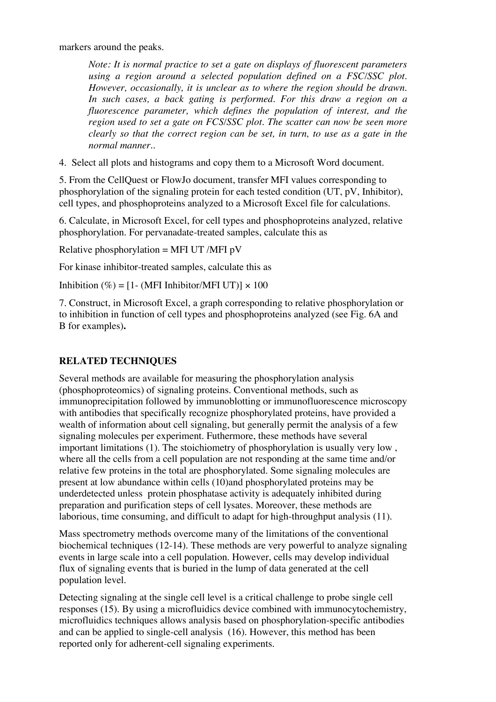markers around the peaks.

*Note: It is normal practice to set a gate on displays of fluorescent parameters using a region around a selected population defined on a FSC/SSC plot. However, occasionally, it is unclear as to where the region should be drawn. In such cases, a back gating is performed. For this draw a region on a fluorescence parameter, which defines the population of interest, and the region used to set a gate on FCS/SSC plot. The scatter can now be seen more clearly so that the correct region can be set, in turn, to use as a gate in the normal manner..*

4. Select all plots and histograms and copy them to a Microsoft Word document.

5. From the CellQuest or FlowJo document, transfer MFI values corresponding to phosphorylation of the signaling protein for each tested condition (UT, pV, Inhibitor), cell types, and phosphoproteins analyzed to a Microsoft Excel file for calculations.

6. Calculate, in Microsoft Excel, for cell types and phosphoproteins analyzed, relative phosphorylation. For pervanadate-treated samples, calculate this as

Relative phosphorylation = MFI UT /MFI  $pV$ 

For kinase inhibitor-treated samples, calculate this as

Inhibition (%) =  $[1 - (MFI Inhibitor/MFI UT)] \times 100$ 

7. Construct, in Microsoft Excel, a graph corresponding to relative phosphorylation or to inhibition in function of cell types and phosphoproteins analyzed (see Fig. 6A and B for examples)**.**

# **RELATED TECHNIQUES**

Several methods are available for measuring the phosphorylation analysis (phosphoproteomics) of signaling proteins. Conventional methods, such as immunoprecipitation followed by immunoblotting or immunofluorescence microscopy with antibodies that specifically recognize phosphorylated proteins, have provided a wealth of information about cell signaling, but generally permit the analysis of a few signaling molecules per experiment. Futhermore, these methods have several important limitations (1). The stoichiometry of phosphorylation is usually very low , where all the cells from a cell population are not responding at the same time and/or relative few proteins in the total are phosphorylated. Some signaling molecules are present at low abundance within cells (10)and phosphorylated proteins may be underdetected unless protein phosphatase activity is adequately inhibited during preparation and purification steps of cell lysates. Moreover, these methods are laborious, time consuming, and difficult to adapt for high-throughput analysis (11).

Mass spectrometry methods overcome many of the limitations of the conventional biochemical techniques (12-14). These methods are very powerful to analyze signaling events in large scale into a cell population. However, cells may develop individual flux of signaling events that is buried in the lump of data generated at the cell population level.

Detecting signaling at the single cell level is a critical challenge to probe single cell responses (15). By using a microfluidics device combined with immunocytochemistry, microfluidics techniques allows analysis based on phosphorylation-specific antibodies and can be applied to single-cell analysis (16). However, this method has been reported only for adherent-cell signaling experiments.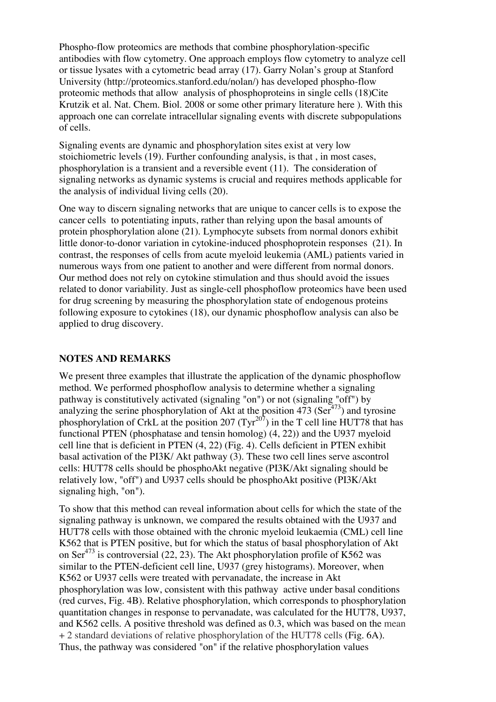Phospho-flow proteomics are methods that combine phosphorylation-specific antibodies with flow cytometry. One approach employs flow cytometry to analyze cell or tissue lysates with a cytometric bead array (17). Garry Nolan's group at Stanford University (http://proteomics.stanford.edu/nolan/) has developed phospho-flow proteomic methods that allow analysis of phosphoproteins in single cells (18)Cite Krutzik et al. Nat. Chem. Biol. 2008 or some other primary literature here ). With this approach one can correlate intracellular signaling events with discrete subpopulations of cells.

Signaling events are dynamic and phosphorylation sites exist at very low stoichiometric levels (19). Further confounding analysis, is that , in most cases, phosphorylation is a transient and a reversible event (11). The consideration of signaling networks as dynamic systems is crucial and requires methods applicable for the analysis of individual living cells (20).

One way to discern signaling networks that are unique to cancer cells is to expose the cancer cells to potentiating inputs, rather than relying upon the basal amounts of protein phosphorylation alone (21). Lymphocyte subsets from normal donors exhibit little donor-to-donor variation in cytokine-induced phosphoprotein responses (21). In contrast, the responses of cells from acute myeloid leukemia (AML) patients varied in numerous ways from one patient to another and were different from normal donors. Our method does not rely on cytokine stimulation and thus should avoid the issues related to donor variability. Just as single-cell phosphoflow proteomics have been used for drug screening by measuring the phosphorylation state of endogenous proteins following exposure to cytokines (18), our dynamic phosphoflow analysis can also be applied to drug discovery.

#### **NOTES AND REMARKS**

We present three examples that illustrate the application of the dynamic phosphoflow method. We performed phosphoflow analysis to determine whether a signaling pathway is constitutively activated (signaling "on") or not (signaling "off") by analyzing the serine phosphorylation of Akt at the position  $473$  (Ser<sup> $473$ </sup>) and tyrosine phosphorylation of CrkL at the position 207 (Tyr<sup>207</sup>) in the T cell line HUT78 that has functional PTEN (phosphatase and tensin homolog) (4, 22)) and the U937 myeloid cell line that is deficient in PTEN (4, 22) (Fig. 4). Cells deficient in PTEN exhibit basal activation of the PI3K/ Akt pathway (3). These two cell lines serve ascontrol cells: HUT78 cells should be phosphoAkt negative (PI3K/Akt signaling should be relatively low, "off") and U937 cells should be phosphoAkt positive (PI3K/Akt signaling high, "on").

To show that this method can reveal information about cells for which the state of the signaling pathway is unknown, we compared the results obtained with the U937 and HUT78 cells with those obtained with the chronic myeloid leukaemia (CML) cell line K562 that is PTEN positive, but for which the status of basal phosphorylation of Akt on Ser<sup>473</sup> is controversial (22, 23). The Akt phosphorylation profile of K562 was similar to the PTEN-deficient cell line, U937 (grey histograms). Moreover, when K562 or U937 cells were treated with pervanadate, the increase in Akt phosphorylation was low, consistent with this pathway active under basal conditions (red curves, Fig. 4B). Relative phosphorylation, which corresponds to phosphorylation quantitation changes in response to pervanadate, was calculated for the HUT78, U937, and K562 cells. A positive threshold was defined as 0.3, which was based on the mean + 2 standard deviations of relative phosphorylation of the HUT78 cells (Fig. 6A). Thus, the pathway was considered "on" if the relative phosphorylation values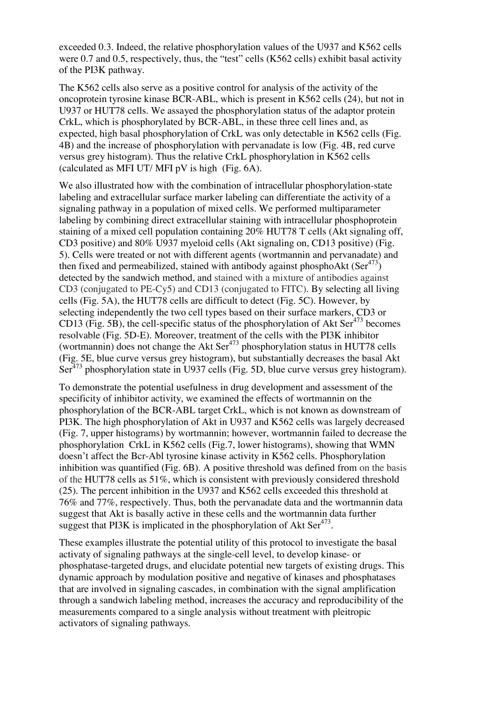exceeded 0.3. Indeed, the relative phosphorylation values of the U937 and K562 cells were 0.7 and 0.5, respectively, thus, the "test" cells (K562 cells) exhibit basal activity of the PI3K pathway.

The K562 cells also serve as a positive control for analysis of the activity of the oncoprotein tyrosine kinase BCR-ABL, which is present in K562 cells (24), but not in U937 or HUT78 cells. We assayed the phosphorylation status of the adaptor protein CrkL, which is phosphorylated by BCR-ABL, in these three cell lines and, as expected, high basal phosphorylation of CrkL was only detectable in K562 cells (Fig. 4B) and the increase of phosphorylation with pervanadate is low (Fig. 4B, red curve versus grey histogram). Thus the relative CrkL phosphorylation in K562 cells (calculated as MFI UT/ MFI pV is high (Fig. 6A).

We also illustrated how with the combination of intracellular phosphorylation-state labeling and extracellular surface marker labeling can differentiate the activity of a signaling pathway in a population of mixed cells. We performed multiparameter labeling by combining direct extracellular staining with intracellular phosphoprotein staining of a mixed cell population containing 20% HUT78 T cells (Akt signaling off, CD3 positive) and 80% U937 myeloid cells (Akt signaling on, CD13 positive) (Fig. 5). Cells were treated or not with different agents (wortmannin and pervanadate) and then fixed and permeabilized, stained with antibody against phosphoAkt (Ser<sup>473</sup>) detected by the sandwich method, and stained with a mixture of antibodies against CD3 (conjugated to PE-Cy5) and CD13 (conjugated to FITC). By selecting all living cells (Fig. 5A), the HUT78 cells are difficult to detect (Fig. 5C). However, by selecting independently the two cell types based on their surface markers, CD3 or CD13 (Fig. 5B), the cell-specific status of the phosphorylation of Akt Ser<sup>473</sup> becomes resolvable (Fig. 5D-E). Moreover, treatment of the cells with the PI3K inhibitor (wortmannin) does not change the Akt  $\text{Ser}^{473}$  phosphorylation status in HUT78 cells (Fig. 5E, blue curve versus grey histogram), but substantially decreases the basal Akt Ser<sup>473</sup> phosphorylation state in U937 cells (Fig. 5D, blue curve versus grey histogram).

To demonstrate the potential usefulness in drug development and assessment of the specificity of inhibitor activity, we examined the effects of wortmannin on the phosphorylation of the BCR-ABL target CrkL, which is not known as downstream of PI3K. The high phosphorylation of Akt in U937 and K562 cells was largely decreased (Fig. 7, upper histograms) by wortmannin; however, wortmannin failed to decrease the phosphorylation CrkL in K562 cells (Fig.7, lower histograms), showing that WMN doesn't affect the Bcr-Abl tyrosine kinase activity in K562 cells. Phosphorylation inhibition was quantified (Fig. 6B). A positive threshold was defined from on the basis of the HUT78 cells as 51%, which is consistent with previously considered threshold (25). The percent inhibition in the U937 and K562 cells exceeded this threshold at 76% and 77%, respectively. Thus, both the pervanadate data and the wortmannin data suggest that Akt is basally active in these cells and the wortmannin data further suggest that PI3K is implicated in the phosphorylation of Akt Ser $473$ .

These examples illustrate the potential utility of this protocol to investigate the basal activaty of signaling pathways at the single-cell level, to develop kinase- or phosphatase-targeted drugs, and elucidate potential new targets of existing drugs. This dynamic approach by modulation positive and negative of kinases and phosphatases that are involved in signaling cascades, in combination with the signal amplification through a sandwich labeling method, increases the accuracy and reproducibility of the measurements compared to a single analysis without treatment with pleitropic activators of signaling pathways.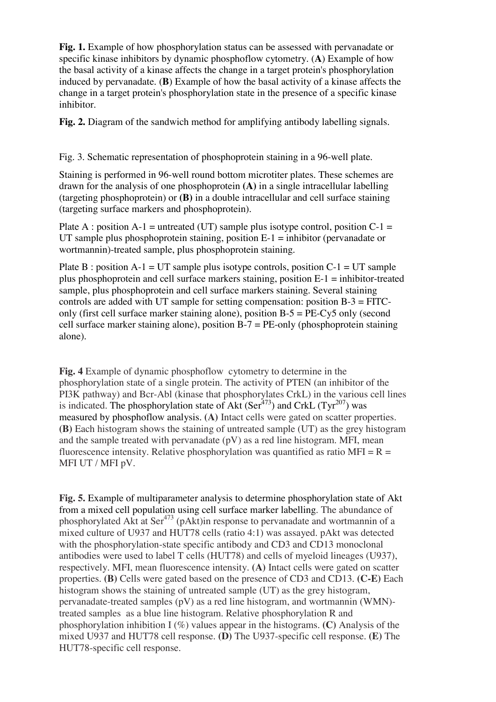**Fig. 1.** Example of how phosphorylation status can be assessed with pervanadate or specific kinase inhibitors by dynamic phosphoflow cytometry. (**A**) Example of how the basal activity of a kinase affects the change in a target protein's phosphorylation induced by pervanadate. (**B**) Example of how the basal activity of a kinase affects the change in a target protein's phosphorylation state in the presence of a specific kinase inhibitor.

**Fig. 2.** Diagram of the sandwich method for amplifying antibody labelling signals.

Fig. 3. Schematic representation of phosphoprotein staining in a 96-well plate.

Staining is performed in 96-well round bottom microtiter plates. These schemes are drawn for the analysis of one phosphoprotein **(A)** in a single intracellular labelling (targeting phosphoprotein) or **(B)** in a double intracellular and cell surface staining (targeting surface markers and phosphoprotein).

Plate A : position A-1 = untreated (UT) sample plus isotype control, position  $C-1 =$ UT sample plus phosphoprotein staining, position  $E-1 =$  inhibitor (pervanadate or wortmannin)-treated sample, plus phosphoprotein staining.

Plate B : position  $A-1 = UT$  sample plus isotype controls, position  $C-1 = UT$  sample plus phosphoprotein and cell surface markers staining, position E-1 = inhibitor-treated sample, plus phosphoprotein and cell surface markers staining. Several staining controls are added with UT sample for setting compensation: position  $B-3 = FITC$ only (first cell surface marker staining alone), position B-5 = PE-Cy5 only (second cell surface marker staining alone), position  $B - 7 = PE$ -only (phosphoprotein staining alone).

**Fig. 4** Example of dynamic phosphoflow cytometry to determine in the phosphorylation state of a single protein. The activity of PTEN (an inhibitor of the PI3K pathway) and Bcr-Abl (kinase that phosphorylates CrkL) in the various cell lines is indicated. The phosphorylation state of Akt (Ser<sup>473</sup>) and CrkL (Tyr<sup>207</sup>) was measured by phosphoflow analysis. **(A)** Intact cells were gated on scatter properties. **(B)** Each histogram shows the staining of untreated sample (UT) as the grey histogram and the sample treated with pervanadate  $(pV)$  as a red line histogram. MFI, mean fluorescence intensity. Relative phosphorylation was quantified as ratio MFI =  $R =$ MFI UT / MFI pV.

**Fig. 5.** Example of multiparameter analysis to determine phosphorylation state of Akt from a mixed cell population using cell surface marker labelling. The abundance of phosphorylated Akt at Ser<sup>473</sup> (pAkt)in response to pervanadate and wortmannin of a mixed culture of U937 and HUT78 cells (ratio 4:1) was assayed. pAkt was detected with the phosphorylation-state specific antibody and CD3 and CD13 monoclonal antibodies were used to label T cells (HUT78) and cells of myeloid lineages (U937), respectively. MFI, mean fluorescence intensity. **(A)** Intact cells were gated on scatter properties. **(B)** Cells were gated based on the presence of CD3 and CD13. **(C-E)** Each histogram shows the staining of untreated sample (UT) as the grey histogram, pervanadate-treated samples (pV) as a red line histogram, and wortmannin (WMN) treated samples as a blue line histogram. Relative phosphorylation R and phosphorylation inhibition I (%) values appear in the histograms. **(C)** Analysis of the mixed U937 and HUT78 cell response. **(D)** The U937-specific cell response. **(E)** The HUT78-specific cell response.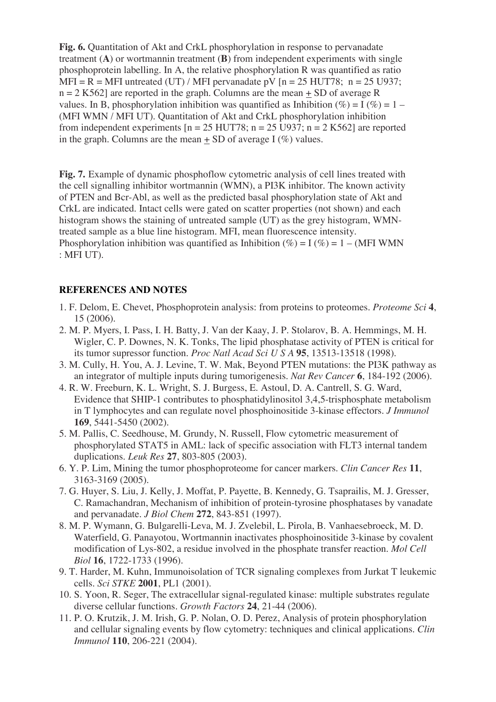**Fig. 6.** Quantitation of Akt and CrkL phosphorylation in response to pervanadate treatment (**A**) or wortmannin treatment (**B**) from independent experiments with single phosphoprotein labelling. In A, the relative phosphorylation R was quantified as ratio MFI = R = MFI untreated (UT) / MFI pervanadate pV  $[n = 25 \text{ HUT78}; n = 25 \text{ U937};$  $n = 2$  K562] are reported in the graph. Columns are the mean  $+$  SD of average R values. In B, phosphorylation inhibition was quantified as Inhibition (%) =  $I$  (%) = 1 – (MFI WMN / MFI UT). Quantitation of Akt and CrkL phosphorylation inhibition from independent experiments  $[n = 25 \text{ HUT78}; n = 25 \text{ U}937; n = 2 \text{ K}562]$  are reported in the graph. Columns are the mean  $+$  SD of average I (%) values.

**Fig. 7.** Example of dynamic phosphoflow cytometric analysis of cell lines treated with the cell signalling inhibitor wortmannin (WMN), a PI3K inhibitor. The known activity of PTEN and Bcr-Abl, as well as the predicted basal phosphorylation state of Akt and CrkL are indicated. Intact cells were gated on scatter properties (not shown) and each histogram shows the staining of untreated sample (UT) as the grey histogram, WMNtreated sample as a blue line histogram. MFI, mean fluorescence intensity. Phosphorylation inhibition was quantified as Inhibition  $(\%)=I(\%)=1 - (MFI WMN)$ : MFI UT).

#### **REFERENCES AND NOTES**

- 1. F. Delom, E. Chevet, Phosphoprotein analysis: from proteins to proteomes. *Proteome Sci* **4**, 15 (2006).
- 2. M. P. Myers, I. Pass, I. H. Batty, J. Van der Kaay, J. P. Stolarov, B. A. Hemmings, M. H. Wigler, C. P. Downes, N. K. Tonks, The lipid phosphatase activity of PTEN is critical for its tumor supressor function. *Proc Natl Acad Sci U S A* **95**, 13513-13518 (1998).
- 3. M. Cully, H. You, A. J. Levine, T. W. Mak, Beyond PTEN mutations: the PI3K pathway as an integrator of multiple inputs during tumorigenesis. *Nat Rev Cancer* **6**, 184-192 (2006).
- 4. R. W. Freeburn, K. L. Wright, S. J. Burgess, E. Astoul, D. A. Cantrell, S. G. Ward, Evidence that SHIP-1 contributes to phosphatidylinositol 3,4,5-trisphosphate metabolism in T lymphocytes and can regulate novel phosphoinositide 3-kinase effectors. *J Immunol* **169**, 5441-5450 (2002).
- 5. M. Pallis, C. Seedhouse, M. Grundy, N. Russell, Flow cytometric measurement of phosphorylated STAT5 in AML: lack of specific association with FLT3 internal tandem duplications. *Leuk Res* **27**, 803-805 (2003).
- 6. Y. P. Lim, Mining the tumor phosphoproteome for cancer markers. *Clin Cancer Res* **11**, 3163-3169 (2005).
- 7. G. Huyer, S. Liu, J. Kelly, J. Moffat, P. Payette, B. Kennedy, G. Tsaprailis, M. J. Gresser, C. Ramachandran, Mechanism of inhibition of protein-tyrosine phosphatases by vanadate and pervanadate. *J Biol Chem* **272**, 843-851 (1997).
- 8. M. P. Wymann, G. Bulgarelli-Leva, M. J. Zvelebil, L. Pirola, B. Vanhaesebroeck, M. D. Waterfield, G. Panayotou, Wortmannin inactivates phosphoinositide 3-kinase by covalent modification of Lys-802, a residue involved in the phosphate transfer reaction. *Mol Cell Biol* **16**, 1722-1733 (1996).
- 9. T. Harder, M. Kuhn, Immunoisolation of TCR signaling complexes from Jurkat T leukemic cells. *Sci STKE* **2001**, PL1 (2001).
- 10. S. Yoon, R. Seger, The extracellular signal-regulated kinase: multiple substrates regulate diverse cellular functions. *Growth Factors* **24**, 21-44 (2006).
- 11. P. O. Krutzik, J. M. Irish, G. P. Nolan, O. D. Perez, Analysis of protein phosphorylation and cellular signaling events by flow cytometry: techniques and clinical applications. *Clin Immunol* **110**, 206-221 (2004).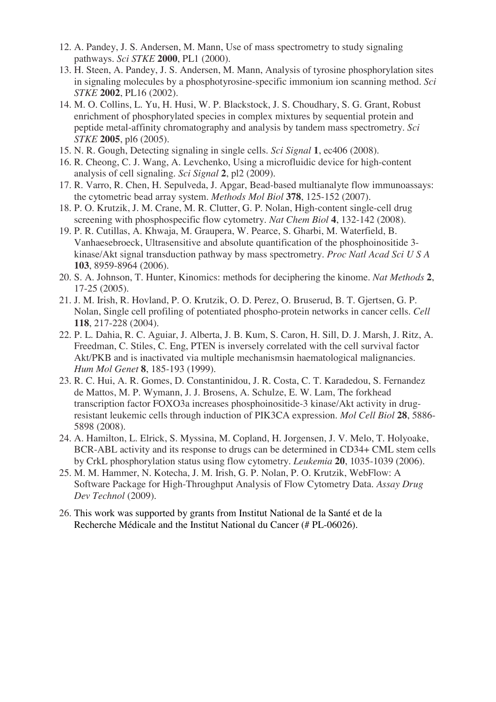- 12. A. Pandey, J. S. Andersen, M. Mann, Use of mass spectrometry to study signaling pathways. *Sci STKE* **2000**, PL1 (2000).
- 13. H. Steen, A. Pandey, J. S. Andersen, M. Mann, Analysis of tyrosine phosphorylation sites in signaling molecules by a phosphotyrosine-specific immonium ion scanning method. *Sci STKE* **2002**, PL16 (2002).
- 14. M. O. Collins, L. Yu, H. Husi, W. P. Blackstock, J. S. Choudhary, S. G. Grant, Robust enrichment of phosphorylated species in complex mixtures by sequential protein and peptide metal-affinity chromatography and analysis by tandem mass spectrometry. *Sci STKE* **2005**, pl6 (2005).
- 15. N. R. Gough, Detecting signaling in single cells. *Sci Signal* **1**, ec406 (2008).
- 16. R. Cheong, C. J. Wang, A. Levchenko, Using a microfluidic device for high-content analysis of cell signaling. *Sci Signal* **2**, pl2 (2009).
- 17. R. Varro, R. Chen, H. Sepulveda, J. Apgar, Bead-based multianalyte flow immunoassays: the cytometric bead array system. *Methods Mol Biol* **378**, 125-152 (2007).
- 18. P. O. Krutzik, J. M. Crane, M. R. Clutter, G. P. Nolan, High-content single-cell drug screening with phosphospecific flow cytometry. *Nat Chem Biol* **4**, 132-142 (2008).
- 19. P. R. Cutillas, A. Khwaja, M. Graupera, W. Pearce, S. Gharbi, M. Waterfield, B. Vanhaesebroeck, Ultrasensitive and absolute quantification of the phosphoinositide 3 kinase/Akt signal transduction pathway by mass spectrometry. *Proc Natl Acad Sci U S A* **103**, 8959-8964 (2006).
- 20. S. A. Johnson, T. Hunter, Kinomics: methods for deciphering the kinome. *Nat Methods* **2**, 17-25 (2005).
- 21. J. M. Irish, R. Hovland, P. O. Krutzik, O. D. Perez, O. Bruserud, B. T. Gjertsen, G. P. Nolan, Single cell profiling of potentiated phospho-protein networks in cancer cells. *Cell* **118**, 217-228 (2004).
- 22. P. L. Dahia, R. C. Aguiar, J. Alberta, J. B. Kum, S. Caron, H. Sill, D. J. Marsh, J. Ritz, A. Freedman, C. Stiles, C. Eng, PTEN is inversely correlated with the cell survival factor Akt/PKB and is inactivated via multiple mechanismsin haematological malignancies. *Hum Mol Genet* **8**, 185-193 (1999).
- 23. R. C. Hui, A. R. Gomes, D. Constantinidou, J. R. Costa, C. T. Karadedou, S. Fernandez de Mattos, M. P. Wymann, J. J. Brosens, A. Schulze, E. W. Lam, The forkhead transcription factor FOXO3a increases phosphoinositide-3 kinase/Akt activity in drugresistant leukemic cells through induction of PIK3CA expression. *Mol Cell Biol* **28**, 5886- 5898 (2008).
- 24. A. Hamilton, L. Elrick, S. Myssina, M. Copland, H. Jorgensen, J. V. Melo, T. Holyoake, BCR-ABL activity and its response to drugs can be determined in CD34+ CML stem cells by CrkL phosphorylation status using flow cytometry. *Leukemia* **20**, 1035-1039 (2006).
- 25. M. M. Hammer, N. Kotecha, J. M. Irish, G. P. Nolan, P. O. Krutzik, WebFlow: A Software Package for High-Throughput Analysis of Flow Cytometry Data. *Assay Drug Dev Technol* (2009).
- 26. This work was supported by grants from Institut National de la Santé et de la Recherche Médicale and the Institut National du Cancer (# PL-06026).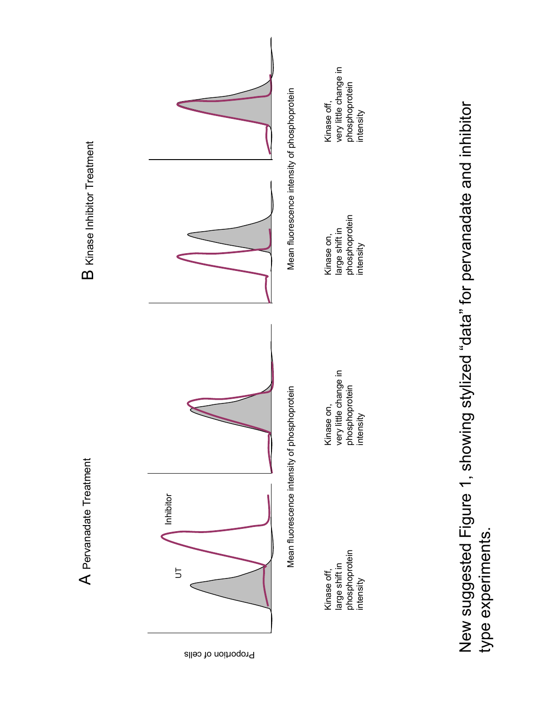

type experiments.

type experiments.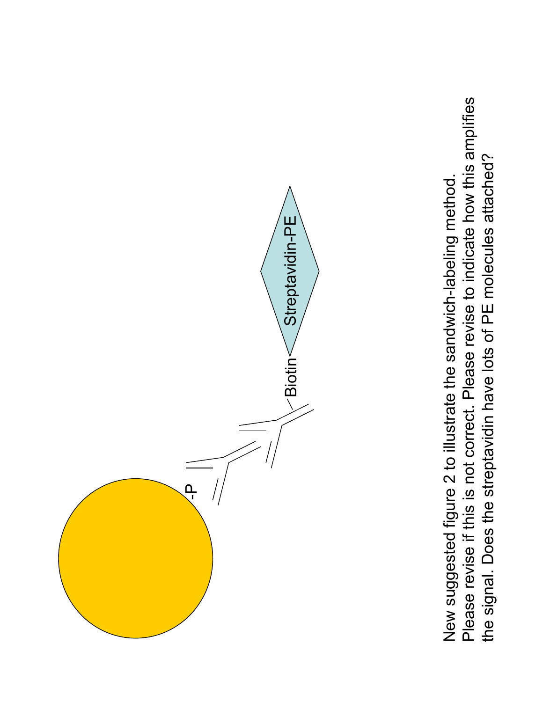Please revise if this is not correct. Please revise to indicate how this amplifies Please revise if this is not correct. Please revise to indicate how this amplifies the signal. Does the streptavidin have lots of PE molecules attached? the signal. Does the streptavidin have lots of PE molecules attached?New suggested figure 2 to illustrate the sandwich-labeling method. New suggested figure 2 to illustrate the sandwich-labeling method.

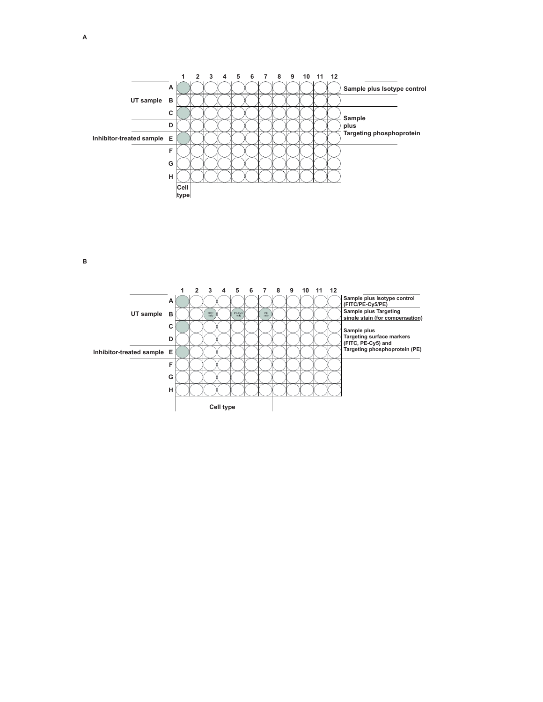

**B**

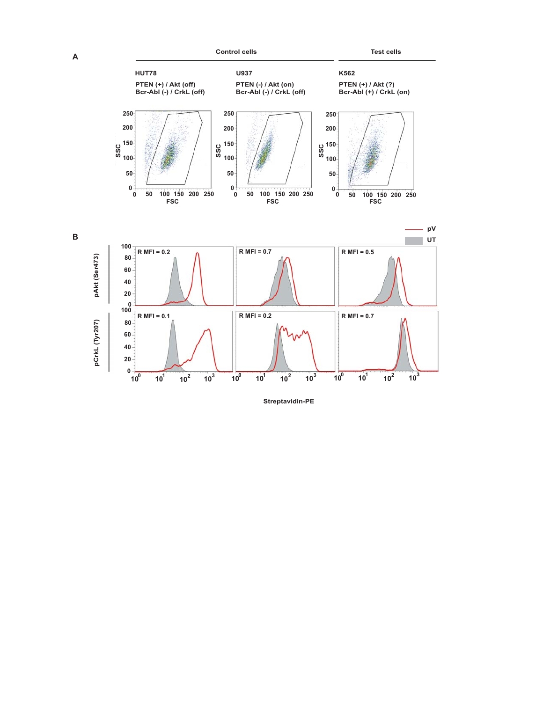**B**



**Streptavidin-PE**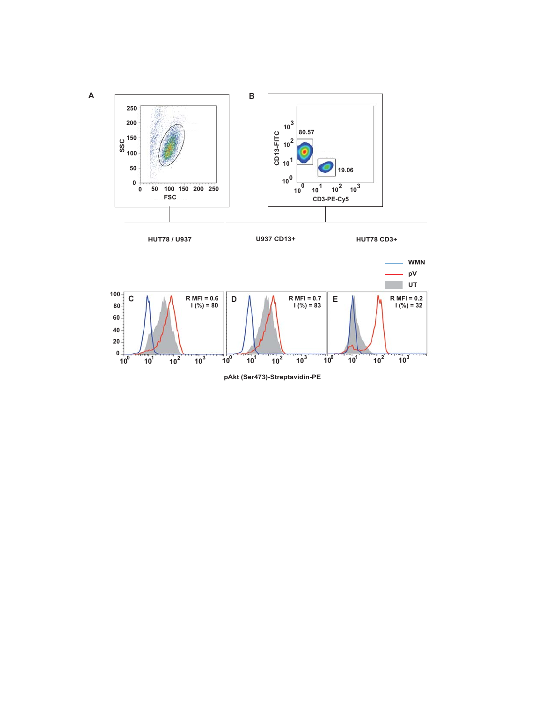



**100 101 <sup>10</sup><sup>2</sup> <sup>10</sup><sup>3</sup> 100 101 <sup>10</sup><sup>2</sup> <sup>10</sup><sup>3</sup> 100 101 <sup>10</sup><sup>2</sup> <sup>10</sup><sup>3</sup>**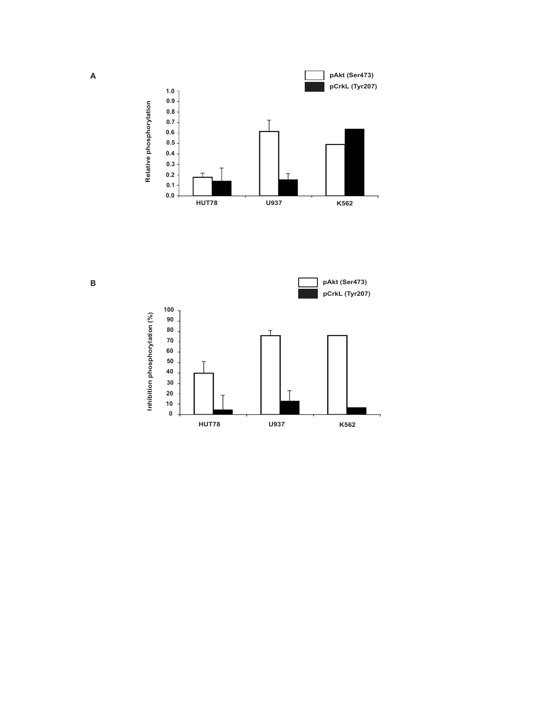



**B**